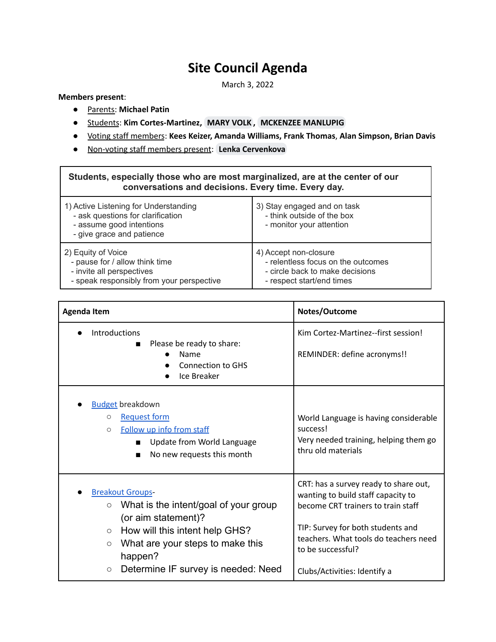## **Site Council Agenda**

March 3, 2022

## **Members present**:

- Parents: **Michael Patin**
- Students: **Kim Cortes-Martinez, [MARY](mailto:volk6@gresham.k12.or.us) VOLK , MCKENZEE [MANLUPIG](mailto:manlupig2@gresham.k12.or.us)**
- Voting staff members: **Kees Keizer, Amanda Williams, Frank Thomas**, **Alan Simpson, Brian Davis**
- Non-voting staff members present: **Lenka [Cervenkova](mailto:cervenkova2@gresham.k12.or.us)**

## **Students, especially those who are most marginalized, are at the center of our conversations and decisions. Every time. Every day.**

| 1) Active Listening for Understanding<br>- ask questions for clarification<br>- assume good intentions<br>- give grace and patience | 3) Stay engaged and on task<br>- think outside of the box<br>- monitor your attention |
|-------------------------------------------------------------------------------------------------------------------------------------|---------------------------------------------------------------------------------------|
| 2) Equity of Voice                                                                                                                  | 4) Accept non-closure                                                                 |
| - pause for / allow think time                                                                                                      | - relentless focus on the outcomes                                                    |
| - invite all perspectives                                                                                                           | - circle back to make decisions                                                       |
| - speak responsibly from your perspective                                                                                           | - respect start/end times                                                             |

| Agenda Item                                                                                                                                                                                               | Notes/Outcome                                                                                                                                                                                                        |
|-----------------------------------------------------------------------------------------------------------------------------------------------------------------------------------------------------------|----------------------------------------------------------------------------------------------------------------------------------------------------------------------------------------------------------------------|
| Introductions<br>Please be ready to share:<br>■<br>Name                                                                                                                                                   | Kim Cortez-Martinez--first session!<br>REMINDER: define acronyms!!                                                                                                                                                   |
| <b>Connection to GHS</b><br>Ice Breaker                                                                                                                                                                   |                                                                                                                                                                                                                      |
| <b>Budget breakdown</b><br><b>Request form</b><br>$\circ$<br>Follow up info from staff<br>$\circ$<br>Update from World Language<br>$\blacksquare$<br>No new requests this month<br>п                      | World Language is having considerable<br>success!<br>Very needed training, helping them go<br>thru old materials                                                                                                     |
| <b>Breakout Groups-</b><br>What is the intent/goal of your group<br>$\circ$<br>(or aim statement)?<br>How will this intent help GHS?<br>$\circ$<br>What are your steps to make this<br>$\circ$<br>happen? | CRT: has a survey ready to share out,<br>wanting to build staff capacity to<br>become CRT trainers to train staff<br>TIP: Survey for both students and<br>teachers. What tools do teachers need<br>to be successful? |
| Determine IF survey is needed: Need<br>$\circ$                                                                                                                                                            | Clubs/Activities: Identify a                                                                                                                                                                                         |